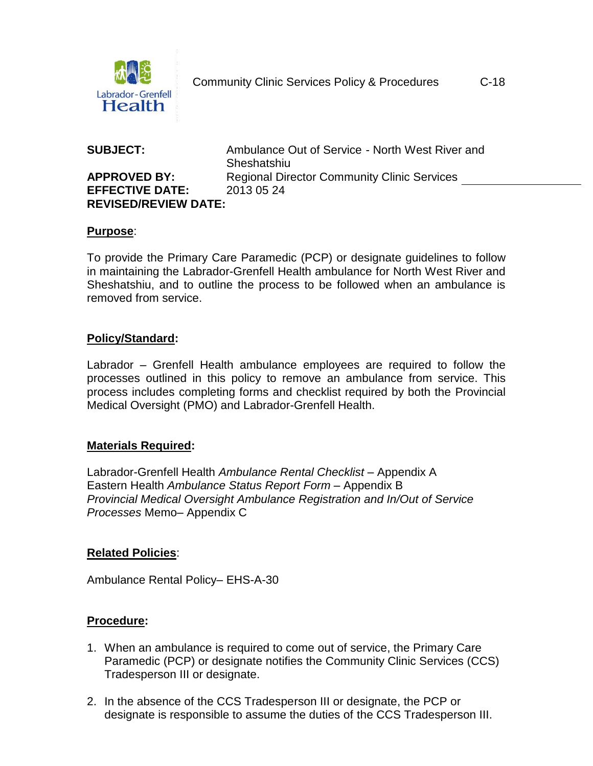

# **EFFECTIVE DATE:** 2013 05 24 **REVISED/REVIEW DATE:**

**SUBJECT:** Ambulance Out of Service - North West River and **Sheshatshiu APPROVED BY:** Regional Director Community Clinic Services

#### **Purpose**:

To provide the Primary Care Paramedic (PCP) or designate guidelines to follow in maintaining the Labrador-Grenfell Health ambulance for North West River and Sheshatshiu, and to outline the process to be followed when an ambulance is removed from service.

# **Policy/Standard:**

Labrador – Grenfell Health ambulance employees are required to follow the processes outlined in this policy to remove an ambulance from service. This process includes completing forms and checklist required by both the Provincial Medical Oversight (PMO) and Labrador-Grenfell Health.

#### **Materials Required:**

Labrador-Grenfell Health *Ambulance Rental Checklist* – Appendix A Eastern Health *Ambulance Status Report Form* – Appendix B *Provincial Medical Oversight Ambulance Registration and In/Out of Service Processes* Memo– Appendix C

#### **Related Policies**:

Ambulance Rental Policy– EHS-A-30

# **Procedure:**

- 1. When an ambulance is required to come out of service, the Primary Care Paramedic (PCP) or designate notifies the Community Clinic Services (CCS) Tradesperson III or designate.
- 2. In the absence of the CCS Tradesperson III or designate, the PCP or designate is responsible to assume the duties of the CCS Tradesperson III.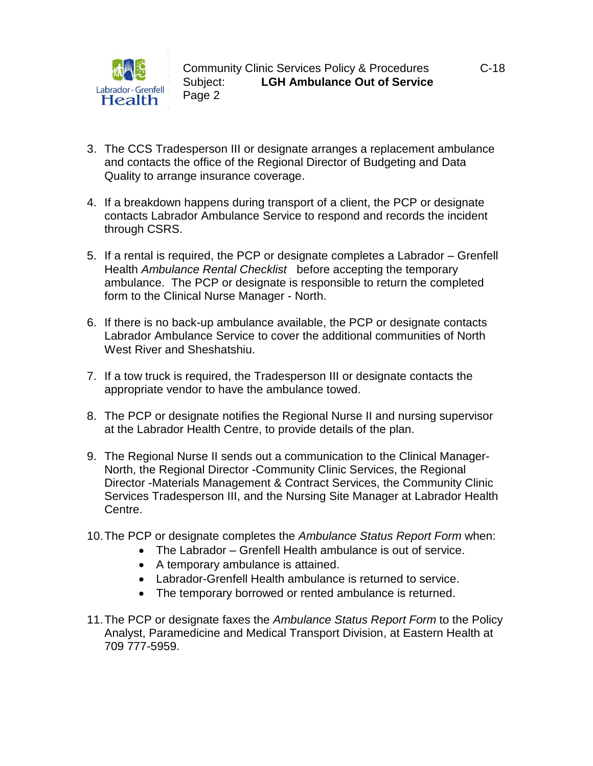

- 3. The CCS Tradesperson III or designate arranges a replacement ambulance and contacts the office of the Regional Director of Budgeting and Data Quality to arrange insurance coverage.
- 4. If a breakdown happens during transport of a client, the PCP or designate contacts Labrador Ambulance Service to respond and records the incident through CSRS.
- 5. If a rental is required, the PCP or designate completes a Labrador Grenfell Health *Ambulance Rental Checklist* before accepting the temporary ambulance. The PCP or designate is responsible to return the completed form to the Clinical Nurse Manager - North.
- 6. If there is no back-up ambulance available, the PCP or designate contacts Labrador Ambulance Service to cover the additional communities of North West River and Sheshatshiu.
- 7. If a tow truck is required, the Tradesperson III or designate contacts the appropriate vendor to have the ambulance towed.
- 8. The PCP or designate notifies the Regional Nurse II and nursing supervisor at the Labrador Health Centre, to provide details of the plan.
- 9. The Regional Nurse II sends out a communication to the Clinical Manager-North, the Regional Director -Community Clinic Services, the Regional Director -Materials Management & Contract Services, the Community Clinic Services Tradesperson III, and the Nursing Site Manager at Labrador Health Centre.
- 10.The PCP or designate completes the *Ambulance Status Report Form* when:
	- The Labrador Grenfell Health ambulance is out of service.
	- A temporary ambulance is attained.
	- Labrador-Grenfell Health ambulance is returned to service.
	- The temporary borrowed or rented ambulance is returned.
- 11.The PCP or designate faxes the *Ambulance Status Report Form* to the Policy Analyst, Paramedicine and Medical Transport Division, at Eastern Health at 709 777-5959.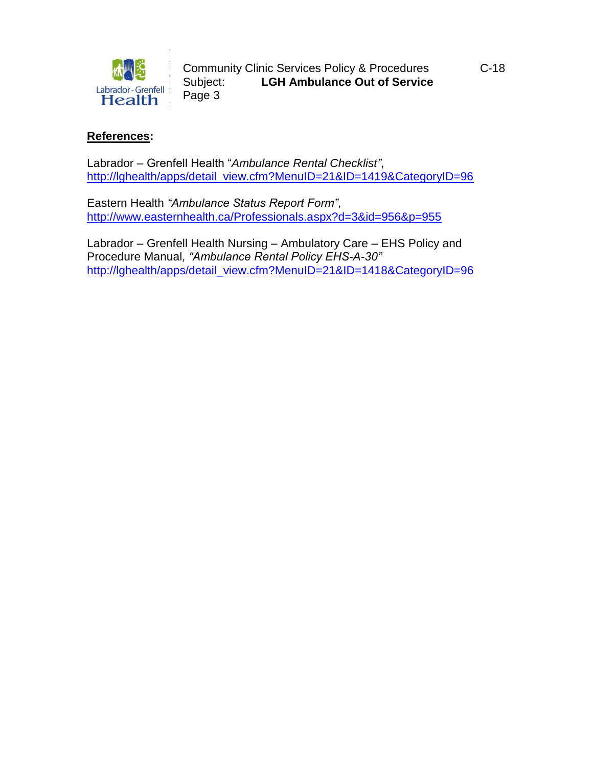

Community Clinic Services Policy & Procedures C-18 Subject: **LGH Ambulance Out of Service** Page 3

#### **References:**

Labrador – Grenfell Health "*Ambulance Rental Checklist"*, [http://lghealth/apps/detail\\_view.cfm?MenuID=21&ID=1419&CategoryID=96](http://lghealth/apps/detail_view.cfm?MenuID=21&ID=1419&CategoryID=96)

Eastern Health *"Ambulance Status Report Form"*, <http://www.easternhealth.ca/Professionals.aspx?d=3&id=956&p=955>

Labrador – Grenfell Health Nursing – Ambulatory Care – EHS Policy and Procedure Manual*, "Ambulance Rental Policy EHS-A-30"* [http://lghealth/apps/detail\\_view.cfm?MenuID=21&ID=1418&CategoryID=96](http://lghealth/apps/detail_view.cfm?MenuID=21&ID=1418&CategoryID=96)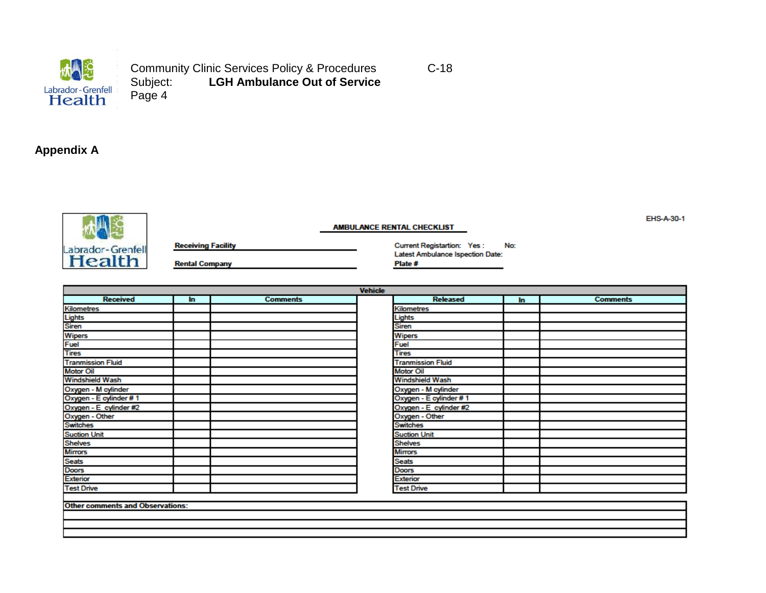

Community Clinic Services Policy & Procedures C-18<br>
Subject: LGH Ambulance Out of Service **LGH Ambulance Out of Service** Page 4

### **Appendix A**



**Receiving Facility** 

**Rental Company** 

Current Registartion: Yes: No: Latest Ambulance Ispection Date: Plate #

| <b>Vehicle</b>                             |     |                 |  |                          |     |                 |  |
|--------------------------------------------|-----|-----------------|--|--------------------------|-----|-----------------|--|
| <b>Received</b>                            | ln. | <b>Comments</b> |  | <b>Released</b>          | In. | <b>Comments</b> |  |
| <b>Kilometres</b>                          |     |                 |  | Kilometres               |     |                 |  |
|                                            |     |                 |  | Lights                   |     |                 |  |
|                                            |     |                 |  | <b>Siren</b>             |     |                 |  |
| Lights<br>Siren<br>Wipers<br>Fuel<br>Tires |     |                 |  | <b>Wipers</b>            |     |                 |  |
|                                            |     |                 |  | Fuel                     |     |                 |  |
|                                            |     |                 |  | Tires                    |     |                 |  |
| <b>Tranmission Fluid</b>                   |     |                 |  | <b>Tranmission Fluid</b> |     |                 |  |
| <b>Motor Oil</b>                           |     |                 |  | <b>Motor Oil</b>         |     |                 |  |
| <b>Windshield Wash</b>                     |     |                 |  | <b>Windshield Wash</b>   |     |                 |  |
| Oxygen - M cylinder                        |     |                 |  | Oxygen - M cylinder      |     |                 |  |
| Oxygen - E cylinder #1                     |     |                 |  | Oxygen - E cylinder #1   |     |                 |  |
| Oxygen - E cylinder #2                     |     |                 |  | Oxygen - E cylinder #2   |     |                 |  |
| Oxygen - Other<br>Switches                 |     |                 |  | Oxygen - Other           |     |                 |  |
|                                            |     |                 |  | <b>Switches</b>          |     |                 |  |
| <b>Suction Unit</b>                        |     |                 |  | <b>Suction Unit</b>      |     |                 |  |
| <b>Shelves</b>                             |     |                 |  | <b>Shelves</b>           |     |                 |  |
|                                            |     |                 |  | <b>Mirrors</b>           |     |                 |  |
| Mirrors<br>Seats<br>Doors<br>Exterior      |     |                 |  | <b>Seats</b>             |     |                 |  |
|                                            |     |                 |  | <b>Doors</b>             |     |                 |  |
|                                            |     |                 |  | <b>Exterior</b>          |     |                 |  |
| <b>Test Drive</b>                          |     |                 |  | <b>Test Drive</b>        |     |                 |  |
|                                            |     |                 |  |                          |     |                 |  |
| <b>Other comments and Observations:</b>    |     |                 |  |                          |     |                 |  |
|                                            |     |                 |  |                          |     |                 |  |
|                                            |     |                 |  |                          |     |                 |  |

**AMBULANCE RENTAL CHECKLIST** 

EHS-A-30-1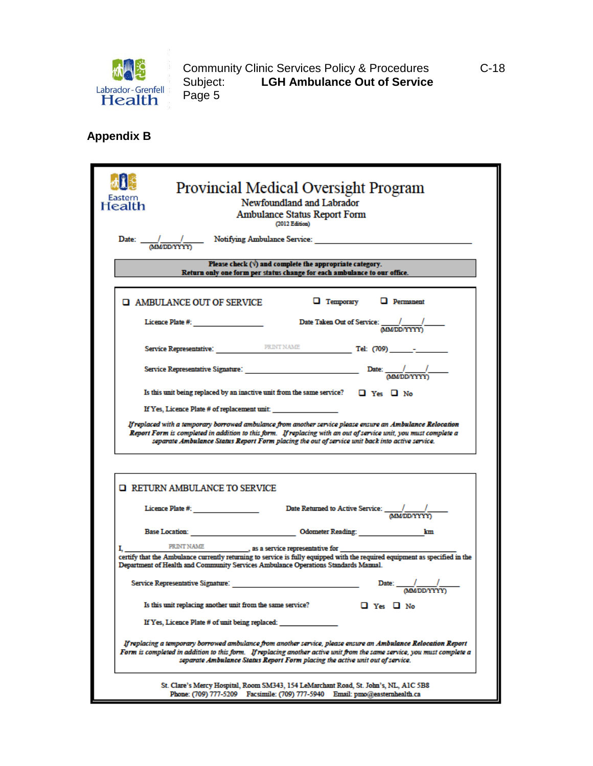

Community Clinic Services Policy & Procedures C-18 Subject: **LGH Ambulance Out of Service** Subject:<br>Page 5

**Appendix B**

| Health                                                                                                                                                                                                                                                                                                                     | Provincial Medical Oversight Program<br>Newfoundland and Labrador<br><b>Ambulance Status Report Form</b><br>(2012 Edition)                                                                                        |  |  |  |  |  |  |
|----------------------------------------------------------------------------------------------------------------------------------------------------------------------------------------------------------------------------------------------------------------------------------------------------------------------------|-------------------------------------------------------------------------------------------------------------------------------------------------------------------------------------------------------------------|--|--|--|--|--|--|
|                                                                                                                                                                                                                                                                                                                            | Date: $\frac{1}{\sqrt{(\text{MMDD/YYY})}}$ Notifying Ambulance Service: _________________________                                                                                                                 |  |  |  |  |  |  |
| Please check $(\forall)$ and complete the appropriate category.<br>Return only one form per status change for each ambulance to our office.                                                                                                                                                                                |                                                                                                                                                                                                                   |  |  |  |  |  |  |
| <b>Q AMBULANCE OUT OF SERVICE</b>                                                                                                                                                                                                                                                                                          | $\Box$ Temporary $\Box$ Permanent                                                                                                                                                                                 |  |  |  |  |  |  |
|                                                                                                                                                                                                                                                                                                                            | Date Taken Out of Service: $\frac{\sqrt{1-\frac{1}{2}}}{\text{(MMDD/YYYY)}}$                                                                                                                                      |  |  |  |  |  |  |
|                                                                                                                                                                                                                                                                                                                            |                                                                                                                                                                                                                   |  |  |  |  |  |  |
|                                                                                                                                                                                                                                                                                                                            |                                                                                                                                                                                                                   |  |  |  |  |  |  |
| Is this unit being replaced by an inactive unit from the same service? $\Box$ Yes $\Box$ No                                                                                                                                                                                                                                |                                                                                                                                                                                                                   |  |  |  |  |  |  |
| If Yes, Licence Plate # of replacement unit:                                                                                                                                                                                                                                                                               |                                                                                                                                                                                                                   |  |  |  |  |  |  |
| Report Form is completed in addition to this form. If replacing with an out of service unit, you must complete a<br>separate Ambulance Status Report Form placing the out of service unit back into active service.<br>RETURN AMBULANCE TO SERVICE                                                                         |                                                                                                                                                                                                                   |  |  |  |  |  |  |
| Licence Plate #. __________________                                                                                                                                                                                                                                                                                        |                                                                                                                                                                                                                   |  |  |  |  |  |  |
|                                                                                                                                                                                                                                                                                                                            | Base Location: Colometer Reading:<br>km                                                                                                                                                                           |  |  |  |  |  |  |
|                                                                                                                                                                                                                                                                                                                            | I. PRINT NAME 35 a service representative for                                                                                                                                                                     |  |  |  |  |  |  |
|                                                                                                                                                                                                                                                                                                                            | certify that the Ambulance currently returning to service is fully equipped with the required equipment as specified in the<br>Department of Health and Community Services Ambulance Operations Standards Manual. |  |  |  |  |  |  |
|                                                                                                                                                                                                                                                                                                                            | Date: $\frac{1}{\sqrt{(MMDD/YYYY)}}$                                                                                                                                                                              |  |  |  |  |  |  |
|                                                                                                                                                                                                                                                                                                                            | Is this unit replacing another unit from the same service?<br>Ω Yes Ω No                                                                                                                                          |  |  |  |  |  |  |
|                                                                                                                                                                                                                                                                                                                            | If Yes, Licence Plate # of unit being replaced:                                                                                                                                                                   |  |  |  |  |  |  |
| If replacing a temporary borrowed ambulance from another service, please ensure an Ambulance Relocation Report<br>Form is completed in addition to this form. If replacing another active unit from the same service, you must complete a<br>separate Ambulance Status Report Form placing the active unit out of service. |                                                                                                                                                                                                                   |  |  |  |  |  |  |
| Phone: (709) 777-5209                                                                                                                                                                                                                                                                                                      | St. Clare's Mercy Hospital, Room SM343, 154 LeMarchant Road, St. John's, NL, A1C 5B8<br>Facsimile: (709) 777-5940 Email: pmo@easternhealth.ca                                                                     |  |  |  |  |  |  |